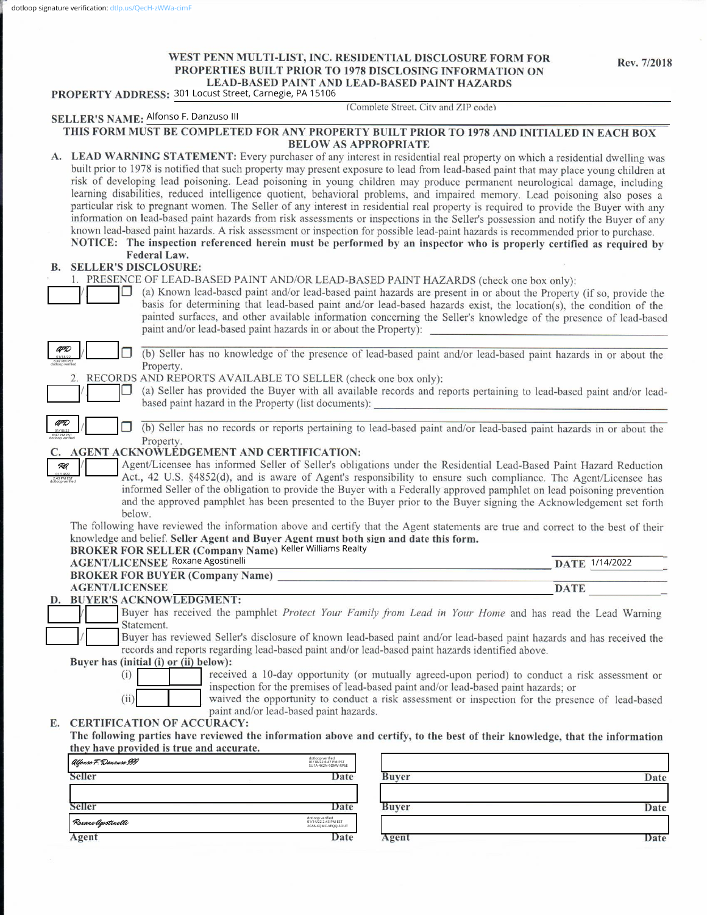# WEST PENN MULTI-LIST, INC. RESIDENTIAL DISCLOSURE FORM FOR **PROPERTIES BUILT PRIOR TO 1978 DISCLOSING INFORMATION ON LEAD-BASED PAINT AND LEAD-BASED PAINT HAZARDS**

Rev. 7/2018

|     | ASED I AINT AND LEAD-DASED I AINT HAZANDS<br>PROPERTY ADDRESS: 301 Locust Street, Carnegie, PA 15106                                                                                                                                                                                                                                                                                                                                                                                                                                                                                                                                                                                                                                                                                                                                                                                                                                                                                                                                                                                        |
|-----|---------------------------------------------------------------------------------------------------------------------------------------------------------------------------------------------------------------------------------------------------------------------------------------------------------------------------------------------------------------------------------------------------------------------------------------------------------------------------------------------------------------------------------------------------------------------------------------------------------------------------------------------------------------------------------------------------------------------------------------------------------------------------------------------------------------------------------------------------------------------------------------------------------------------------------------------------------------------------------------------------------------------------------------------------------------------------------------------|
|     | (Complete Street, City and ZIP code)<br>SELLER'S NAME: Alfonso F. Danzuso III                                                                                                                                                                                                                                                                                                                                                                                                                                                                                                                                                                                                                                                                                                                                                                                                                                                                                                                                                                                                               |
|     | THIS FORM MUST BE COMPLETED FOR ANY PROPERTY BUILT PRIOR TO 1978 AND INITIALED IN EACH BOX                                                                                                                                                                                                                                                                                                                                                                                                                                                                                                                                                                                                                                                                                                                                                                                                                                                                                                                                                                                                  |
|     | <b>BELOW AS APPROPRIATE</b>                                                                                                                                                                                                                                                                                                                                                                                                                                                                                                                                                                                                                                                                                                                                                                                                                                                                                                                                                                                                                                                                 |
|     | A. LEAD WARNING STATEMENT: Every purchaser of any interest in residential real property on which a residential dwelling was<br>built prior to 1978 is notified that such property may present exposure to lead from lead-based paint that may place young children at<br>risk of developing lead poisoning. Lead poisoning in young children may produce permanent neurological damage, including<br>learning disabilities, reduced intelligence quotient, behavioral problems, and impaired memory. Lead poisoning also poses a<br>particular risk to pregnant women. The Seller of any interest in residential real property is required to provide the Buyer with any<br>information on lead-based paint hazards from risk assessments or inspections in the Seller's possession and notify the Buyer of any<br>known lead-based paint hazards. A risk assessment or inspection for possible lead-paint hazards is recommended prior to purchase.<br>NOTICE: The inspection referenced herein must be performed by an inspector who is properly certified as required by<br>Federal Law. |
| В.  | <b>SELLER'S DISCLOSURE:</b>                                                                                                                                                                                                                                                                                                                                                                                                                                                                                                                                                                                                                                                                                                                                                                                                                                                                                                                                                                                                                                                                 |
|     | 1. PRESENCE OF LEAD-BASED PAINT AND/OR LEAD-BASED PAINT HAZARDS (check one box only):<br>(a) Known lead-based paint and/or lead-based paint hazards are present in or about the Property (if so, provide the<br>basis for determining that lead-based paint and/or lead-based hazards exist, the location(s), the condition of the<br>painted surfaces, and other available information concerning the Seller's knowledge of the presence of lead-based<br>paint and/or lead-based paint hazards in or about the Property):                                                                                                                                                                                                                                                                                                                                                                                                                                                                                                                                                                 |
| AFD | (b) Seller has no knowledge of the presence of lead-based paint and/or lead-based paint hazards in or about the                                                                                                                                                                                                                                                                                                                                                                                                                                                                                                                                                                                                                                                                                                                                                                                                                                                                                                                                                                             |
|     | Property.<br>RECORDS AND REPORTS AVAILABLE TO SELLER (check one box only):                                                                                                                                                                                                                                                                                                                                                                                                                                                                                                                                                                                                                                                                                                                                                                                                                                                                                                                                                                                                                  |
|     | (a) Seller has provided the Buyer with all available records and reports pertaining to lead-based paint and/or lead-<br>based paint hazard in the Property (list documents):                                                                                                                                                                                                                                                                                                                                                                                                                                                                                                                                                                                                                                                                                                                                                                                                                                                                                                                |
|     | (b) Seller has no records or reports pertaining to lead-based paint and/or lead-based paint hazards in or about the                                                                                                                                                                                                                                                                                                                                                                                                                                                                                                                                                                                                                                                                                                                                                                                                                                                                                                                                                                         |
|     | Property.                                                                                                                                                                                                                                                                                                                                                                                                                                                                                                                                                                                                                                                                                                                                                                                                                                                                                                                                                                                                                                                                                   |
| RA  | AGENT ACKNOWLEDGEMENT AND CERTIFICATION:<br>Agent/Licensee has informed Seller of Seller's obligations under the Residential Lead-Based Paint Hazard Reduction<br>Act., 42 U.S. §4852(d), and is aware of Agent's responsibility to ensure such compliance. The Agent/Licensee has<br>informed Seller of the obligation to provide the Buyer with a Federally approved pamphlet on lead poisoning prevention<br>and the approved pamphlet has been presented to the Buyer prior to the Buyer signing the Acknowledgement set forth<br>below.<br>The following have reviewed the information above and certify that the Agent statements are true and correct to the best of their                                                                                                                                                                                                                                                                                                                                                                                                           |
|     | knowledge and belief. Seller Agent and Buyer Agent must both sign and date this form.<br><b>BROKER FOR SELLER (Company Name) Keller Williams Realty</b>                                                                                                                                                                                                                                                                                                                                                                                                                                                                                                                                                                                                                                                                                                                                                                                                                                                                                                                                     |
|     | <b>AGENT/LICENSEE Roxane Agostinelli</b><br>DATE 1/14/2022                                                                                                                                                                                                                                                                                                                                                                                                                                                                                                                                                                                                                                                                                                                                                                                                                                                                                                                                                                                                                                  |
|     | <b>BROKER FOR BUYER (Company Name)</b>                                                                                                                                                                                                                                                                                                                                                                                                                                                                                                                                                                                                                                                                                                                                                                                                                                                                                                                                                                                                                                                      |
|     | <b>AGENT/LICENSEE</b><br><b>DATE</b>                                                                                                                                                                                                                                                                                                                                                                                                                                                                                                                                                                                                                                                                                                                                                                                                                                                                                                                                                                                                                                                        |
|     | D. BUYER'S ACKNOWLEDGMENT:<br>Buyer has received the pamphlet Protect Your Family from Lead in Your Home and has read the Lead Warning<br>Statement.                                                                                                                                                                                                                                                                                                                                                                                                                                                                                                                                                                                                                                                                                                                                                                                                                                                                                                                                        |
|     | Buyer has reviewed Seller's disclosure of known lead-based paint and/or lead-based paint hazards and has received the<br>records and reports regarding lead-based paint and/or lead-based paint hazards identified above.                                                                                                                                                                                                                                                                                                                                                                                                                                                                                                                                                                                                                                                                                                                                                                                                                                                                   |
|     | Buyer has (initial (i) or (ii) below):                                                                                                                                                                                                                                                                                                                                                                                                                                                                                                                                                                                                                                                                                                                                                                                                                                                                                                                                                                                                                                                      |
|     | received a 10-day opportunity (or mutually agreed-upon period) to conduct a risk assessment or<br>(i)<br>inspection for the premises of lead-based paint and/or lead-based paint hazards; or<br>(ii)<br>waived the opportunity to conduct a risk assessment or inspection for the presence of lead-based<br>paint and/or lead-based paint hazards.                                                                                                                                                                                                                                                                                                                                                                                                                                                                                                                                                                                                                                                                                                                                          |
| Е.  | <b>CERTIFICATION OF ACCURACY:</b><br>The following parties have reviewed the information above and certify, to the best of their knowledge, that the information                                                                                                                                                                                                                                                                                                                                                                                                                                                                                                                                                                                                                                                                                                                                                                                                                                                                                                                            |
|     | they have provided is true and accurate.                                                                                                                                                                                                                                                                                                                                                                                                                                                                                                                                                                                                                                                                                                                                                                                                                                                                                                                                                                                                                                                    |
|     | dotloop verified<br>01/18/22 6:47 PM PST<br>SU1A-4K2N-9DMV-RP6E<br>Alfonso F. Danzuso III<br>Seller<br><b>Buyer</b><br>Date<br>Date                                                                                                                                                                                                                                                                                                                                                                                                                                                                                                                                                                                                                                                                                                                                                                                                                                                                                                                                                         |
|     |                                                                                                                                                                                                                                                                                                                                                                                                                                                                                                                                                                                                                                                                                                                                                                                                                                                                                                                                                                                                                                                                                             |
|     | <b>Buyer</b><br>Seller<br>Date<br>Date                                                                                                                                                                                                                                                                                                                                                                                                                                                                                                                                                                                                                                                                                                                                                                                                                                                                                                                                                                                                                                                      |
|     | dotloop verified<br>01/14/22 2:43 PM EST<br>2GS6-XQMC-VEQQ-SOUT<br>Roxane Agostinelli                                                                                                                                                                                                                                                                                                                                                                                                                                                                                                                                                                                                                                                                                                                                                                                                                                                                                                                                                                                                       |
|     | Agent<br>Date<br>Agent<br>Date                                                                                                                                                                                                                                                                                                                                                                                                                                                                                                                                                                                                                                                                                                                                                                                                                                                                                                                                                                                                                                                              |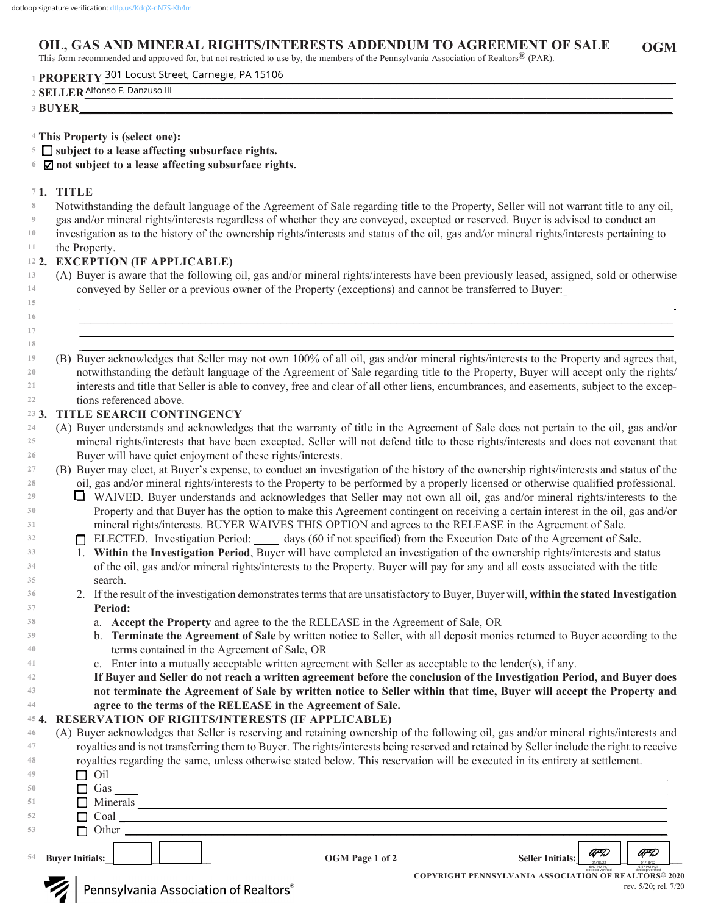#### **OGM OIL, GAS AND MINERAL RIGHTS/INTERESTS ADDENDUM TO AGREEMENT OF SALE**

This form recommended and approved for, but not restricted to use by, the members of the Pennsylvania Association of Realtors® (PAR).

**PROPERTY\_\_\_\_\_\_\_\_\_\_\_\_\_\_\_\_\_\_\_\_\_\_\_\_\_\_\_\_\_\_\_\_\_\_\_\_\_\_\_\_\_\_\_\_\_\_\_\_\_\_\_\_\_\_\_\_\_\_\_\_\_\_\_\_\_\_\_\_\_\_\_\_\_\_\_\_\_\_\_\_\_\_\_\_\_\_\_\_\_\_\_\_\_\_\_\_\_\_\_ 1** 301 Locust Street, Carnegie, PA 15106

| 11011111<br>- 11                |  |  |
|---------------------------------|--|--|
| .<br>Alfonso l<br>. Danzuso III |  |  |
| 1 L.IN                          |  |  |

- **This Property is (select one): 4**
- **subject to a lease affecting subsurface rights. 5**
- **not subject to a lease affecting subsurface rights. 6**

### **1. TITLE 7**

- Notwithstanding the default language of the Agreement of Sale regarding title to the Property, Seller will not warrant title to any oil, **8**
- gas and/or mineral rights/interests regardless of whether they are conveyed, excepted or reserved. Buyer is advised to conduct an **9**

investigation as to the history of the ownership rights/interests and status of the oil, gas and/or mineral rights/interests pertaining to **10**

the Property. **11**

### **2. EXCEPTION (IF APPLICABLE) 12**

(A) Buyer is aware that the following oil, gas and/or mineral rights/interests have been previously leased, assigned, sold or otherwise conveyed by Seller or a previous owner of the Property (exceptions) and cannot be transferred to Buyer: **13 14**

 $\mathcal{L}_\mathcal{L} = \mathcal{L}_\mathcal{L} = \mathcal{L}_\mathcal{L} = \mathcal{L}_\mathcal{L} = \mathcal{L}_\mathcal{L} = \mathcal{L}_\mathcal{L} = \mathcal{L}_\mathcal{L} = \mathcal{L}_\mathcal{L} = \mathcal{L}_\mathcal{L} = \mathcal{L}_\mathcal{L} = \mathcal{L}_\mathcal{L} = \mathcal{L}_\mathcal{L} = \mathcal{L}_\mathcal{L} = \mathcal{L}_\mathcal{L} = \mathcal{L}_\mathcal{L} = \mathcal{L}_\mathcal{L} = \mathcal{L}_\mathcal{L}$  $\_$  , and the set of the set of the set of the set of the set of the set of the set of the set of the set of the set of the set of the set of the set of the set of the set of the set of the set of the set of the set of th \_\_\_\_\_\_\_\_\_\_\_\_\_\_\_\_\_\_\_\_\_\_\_\_\_\_\_\_\_\_\_\_\_\_\_\_\_\_\_\_\_\_\_\_\_\_\_\_\_\_\_\_\_\_\_\_\_\_\_\_\_\_\_\_\_\_\_\_\_\_\_\_\_\_\_\_\_\_\_\_\_\_\_\_\_\_\_\_\_\_\_\_\_\_\_\_\_\_\_\_\_\_\_ \_\_\_\_\_\_\_\_\_\_\_\_\_\_\_\_\_\_\_\_\_\_\_\_\_\_\_\_\_\_\_\_\_\_\_\_\_\_\_\_\_\_\_\_\_\_\_\_\_\_\_\_\_\_\_\_\_\_\_\_\_\_\_\_\_\_\_\_\_\_\_\_\_\_\_\_\_\_\_\_\_\_\_\_\_\_\_\_\_\_\_\_\_\_\_\_\_\_\_\_\_\_

- **15 16**
- **17**
- **18**

(B) Buyer acknowledges that Seller may not own 100% of all oil, gas and/or mineral rights/interests to the Property and agrees that, notwithstanding the default language of the Agreement of Sale regarding title to the Property, Buyer will accept only the rights/ interests and title that Seller is able to convey, free and clear of all other liens, encumbrances, and easements, subject to the exceptions referenced above. **19 20 21 22**

#### **3. TITLE SEARCH CONTINGENCY 23**

- (A) Buyer understands and acknowledges that the warranty of title in the Agreement of Sale does not pertain to the oil, gas and/or mineral rights/interests that have been excepted. Seller will not defend title to these rights/interests and does not covenant that Buyer will have quiet enjoyment of these rights/interests. **24 25 26**
- (B) Buyer may elect, at Buyer's expense, to conduct an investigation of the history of the ownership rights/interests and status of the oil, gas and/or mineral rights/interests to the Property to be performed by a properly licensed or otherwise qualified professional. **27 28**
	- WAIVED. Buyer understands and acknowledges that Seller may not own all oil, gas and/or mineral rights/interests to the Property and that Buyer has the option to make this Agreement contingent on receiving a certain interest in the oil, gas and/or mineral rights/interests. BUYER WAIVES THIS OPTION and agrees to the RELEASE in the Agreement of Sale.
	- ELECTED. Investigation Period: days (60 if not specified) from the Execution Date of the Agreement of Sale.
	- 1. **Within the Investigation Period**, Buyer will have completed an investigation of the ownership rights/interests and status of the oil, gas and/or mineral rights/interests to the Property. Buyer will pay for any and all costs associated with the title search.
	- 2. If the result of the investigation demonstrates terms that are unsatisfactory to Buyer, Buyer will, **within the stated Investigation Period:**
		- a. **Accept the Property** and agree to the the RELEASE in the Agreement of Sale, OR
		- b. **Terminate the Agreement of Sale** by written notice to Seller, with all deposit monies returned to Buyer according to the terms contained in the Agreement of Sale, OR
		- c. Enter into a mutually acceptable written agreement with Seller as acceptable to the lender(s), if any.
	- **If Buyer and Seller do not reach a written agreement before the conclusion of the Investigation Period, and Buyer does not terminate the Agreement of Sale by written notice to Seller within that time, Buyer will accept the Property and agree to the terms of the RELEASE in the Agreement of Sale.**

#### **4. RESERVATION OF RIGHTS/INTERESTS (IF APPLICABLE) 45**

(A) Buyer acknowledges that Seller is reserving and retaining ownership of the following oil, gas and/or mineral rights/interests and royalties and is not transferring them to Buyer. The rights/interests being reserved and retained by Seller include the right to receive royalties regarding the same, unless otherwise stated below. This reservation will be executed in its entirety at settlement. **46 47 48**

| 54 | <b>Buyer Initials:</b> | OGM Page 1 of 2 | AFD<br>AFD<br><b>Seller Initials:</b><br>01/18/22<br>01/18/22 |
|----|------------------------|-----------------|---------------------------------------------------------------|
| 53 | $\Box$ Other           |                 |                                                               |
| 52 | $\Box$ Coal            |                 |                                                               |
| 51 | $\Box$ Minerals        |                 |                                                               |
| 50 | Gas                    |                 |                                                               |
| 49 | Oil                    |                 |                                                               |

**COPYRIGHT PENNSYLVANIA ASSOCIATION OF REALTORS® 2020** dotloop verified dotloop verified rev. 5/20; rel. 7/20 6:47 PM PST 01/18/22 6:47 PM PST